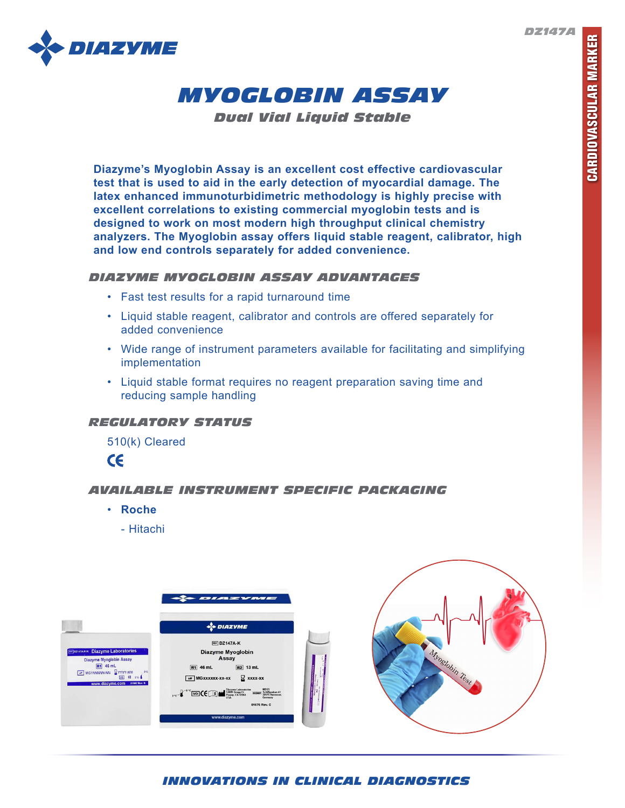*DZ147A*





*Dual Vial Liquid Stable*

**Diazyme's Myoglobin Assay is an excellent cost effective cardiovascular test that is used to aid in the early detection of myocardial damage. The latex enhanced immunoturbidimetric methodology is highly precise with excellent correlations to existing commercial myoglobin tests and is designed to work on most modern high throughput clinical chemistry analyzers. The Myoglobin assay offers liquid stable reagent, calibrator, high and low end controls separately for added convenience.** 

## *DIAZYME MYOGLOBIN ASSAY ADVANTAGES*

- Fast test results for a rapid turnaround time
- Liquid stable reagent, calibrator and controls are offered separately for added convenience
- Wide range of instrument parameters available for facilitating and simplifying implementation
- Liquid stable format requires no reagent preparation saving time and reducing sample handling

# *REGULATORY STATUS*

510(k) Cleared

 $c\epsilon$ 

# *AVAILABLE INSTRUMENT SPECIFIC PACKAGING*

- **Roche**
	- Hitachi



# *INNOVATIONS IN CLINICAL DIAGNOSTICS*